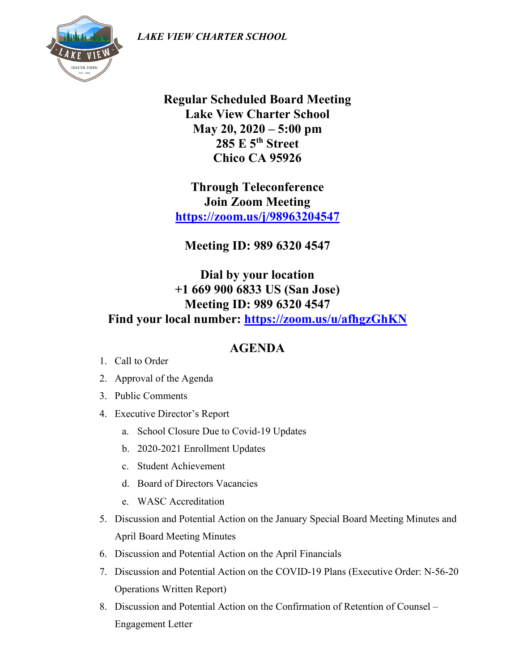*LAKE VIEW CHARTER SCHOOL*



**Regular Scheduled Board Meeting Lake View Charter School May 20, 2020 – 5:00 pm 285 E 5th Street Chico CA 95926**

**Through Teleconference Join Zoom Meeting <https://zoom.us/j/98963204547>**

**Meeting ID: 989 6320 4547**

**Dial by your location +1 669 900 6833 US (San Jose) Meeting ID: 989 6320 4547 Find your local number:<https://zoom.us/u/afhgzGhKN>**

## **AGENDA**

- 1. Call to Order
- 2. Approval of the Agenda
- 3. Public Comments
- 4. Executive Director's Report
	- a. School Closure Due to Covid-19 Updates
	- b. 2020-2021 Enrollment Updates
	- c. Student Achievement
	- d. Board of Directors Vacancies
	- e. WASC Accreditation
- 5. Discussion and Potential Action on the January Special Board Meeting Minutes and April Board Meeting Minutes
- 6. Discussion and Potential Action on the April Financials
- 7. Discussion and Potential Action on the COVID-19 Plans (Executive Order: N-56-20 Operations Written Report)
- 8. Discussion and Potential Action on the Confirmation of Retention of Counsel Engagement Letter